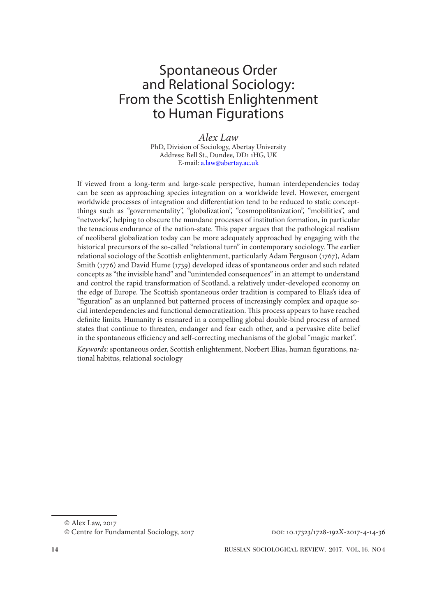# Spontaneous Order and Relational Sociology: From the Scottish Enlightenment to Human Figurations

*Alex Law* PhD, Division of Sociology, Abertay University Address: Bell St., Dundee, DD1 1HG, UK E-mail: a.law@abertay.ac.uk

If viewed from a long-term and large-scale perspective, human interdependencies today can be seen as approaching species integration on a worldwide level. However, emergent worldwide processes of integration and differentiation tend to be reduced to static conceptthings such as "governmentality", "globalization", "cosmopolitanization", "mobilities", and "networks", helping to obscure the mundane processes of institution formation, in particular the tenacious endurance of the nation-state. This paper argues that the pathological realism of neoliberal globalization today can be more adequately approached by engaging with the historical precursors of the so-called "relational turn" in contemporary sociology. The earlier relational sociology of the Scottish enlightenment, particularly Adam Ferguson (1767), Adam Smith (1776) and David Hume (1739) developed ideas of spontaneous order and such related concepts as "the invisible hand" and "unintended consequences" in an attempt to understand and control the rapid transformation of Scotland, a relatively under-developed economy on the edge of Europe. The Scottish spontaneous order tradition is compared to Elias's idea of "figuration" as an unplanned but patterned process of increasingly complex and opaque social interdependencies and functional democratization. This process appears to have reached definite limits. Humanity is ensnared in a compelling global double-bind process of armed states that continue to threaten, endanger and fear each other, and a pervasive elite belief in the spontaneous efficiency and self-correcting mechanisms of the global "magic market".

*Keywords:* spontaneous order, Scottish enlightenment, Norbert Elias, human figurations, national habitus, relational sociology

**14** RUSSIAN SOCIOLOGICAL REVIEW. 2017. VOL. 16. NO4

<sup>©</sup> Alex Law, 2017

<sup>©</sup> Centre for Fundamental Sociology, 2017 **DOI: 10.17323/1728-192X-2017-4-14-36**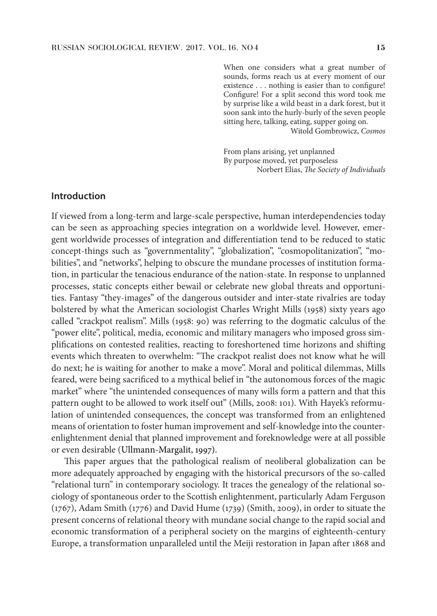When one considers what a great number of sounds, forms reach us at every moment of our existence . . . nothing is easier than to configure! Configure! For a split second this word took me by surprise like a wild beast in a dark forest, but it soon sank into the hurly-burly of the seven people sitting here, talking, eating, supper going on.

Witold Gombrowicz, *Cosmos*

From plans arising, yet unplanned By purpose moved, yet purposeless Norbert Elias, *The Society of Individuals*

#### **Introduction**

If viewed from a long-term and large-scale perspective, human interdependencies today can be seen as approaching species integration on a worldwide level. However, emergent worldwide processes of integration and differentiation tend to be reduced to static concept-things such as "governmentality", "globalization", "cosmopolitanization", "mobilities", and "networks", helping to obscure the mundane processes of institution formation, in particular the tenacious endurance of the nation-state. In response to unplanned processes, static concepts either bewail or celebrate new global threats and opportunities. Fantasy "they-images" of the dangerous outsider and inter-state rivalries are today bolstered by what the American sociologist Charles Wright Mills (1958) sixty years ago called "crackpot realism". Mills (1958: 90) was referring to the dogmatic calculus of the "power elite", political, media, economic and military managers who imposed gross simplifications on contested realities, reacting to foreshortened time horizons and shifting events which threaten to overwhelm: "The crackpot realist does not know what he will do next; he is waiting for another to make a move". Moral and political dilemmas, Mills feared, were being sacrificed to a mythical belief in "the autonomous forces of the magic market" where "the unintended consequences of many wills form a pattern and that this pattern ought to be allowed to work itself out" (Mills, 2008: 101). With Hayek's reformulation of unintended consequences, the concept was transformed from an enlightened means of orientation to foster human improvement and self-knowledge into the counterenlightenment denial that planned improvement and foreknowledge were at all possible or even desirable (Ullmann-Margalit, 1997).

This paper argues that the pathological realism of neoliberal globalization can be more adequately approached by engaging with the historical precursors of the so-called "relational turn" in contemporary sociology. It traces the genealogy of the relational sociology of spontaneous order to the Scottish enlightenment, particularly Adam Ferguson (1767), Adam Smith (1776) and David Hume (1739) (Smith, 2009), in order to situate the present concerns of relational theory with mundane social change to the rapid social and economic transformation of a peripheral society on the margins of eighteenth-century Europe, a transformation unparalleled until the Meiji restoration in Japan after 1868 and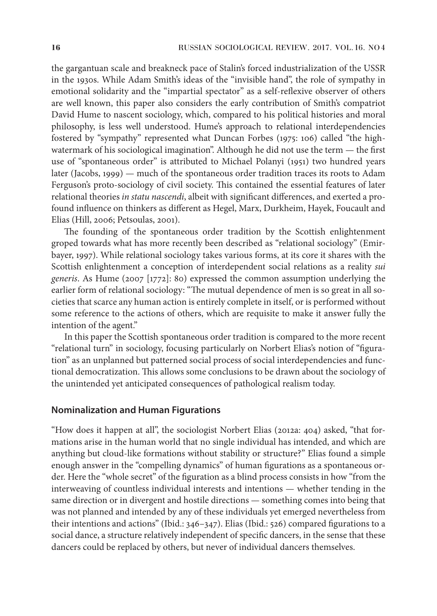the gargantuan scale and breakneck pace of Stalin's forced industrialization of the USSR in the 1930s. While Adam Smith's ideas of the "invisible hand", the role of sympathy in emotional solidarity and the "impartial spectator" as a self-reflexive observer of others are well known, this paper also considers the early contribution of Smith's compatriot David Hume to nascent sociology, which, compared to his political histories and moral philosophy, is less well understood. Hume's approach to relational interdependencies fostered by "sympathy" represented what Duncan Forbes (1975: 106) called "the highwatermark of his sociological imagination". Although he did not use the term — the first use of "spontaneous order" is attributed to Michael Polanyi (1951) two hundred years later (Jacobs, 1999) — much of the spontaneous order tradition traces its roots to Adam Ferguson's proto-sociology of civil society. This contained the essential features of later relational theories *in statu nascendi*, albeit with significant differences, and exerted a profound influence on thinkers as different as Hegel, Marx, Durkheim, Hayek, Foucault and Elias (Hill, 2006; Petsoulas, 2001).

The founding of the spontaneous order tradition by the Scottish enlightenment groped towards what has more recently been described as "relational sociology" (Emirbayer, 1997). While relational sociology takes various forms, at its core it shares with the Scottish enlightenment a conception of interdependent social relations as a reality *sui generis*. As Hume (2007 [1772]: 80) expressed the common assumption underlying the earlier form of relational sociology: "The mutual dependence of men is so great in all societies that scarce any human action is entirely complete in itself, or is performed without some reference to the actions of others, which are requisite to make it answer fully the intention of the agent."

In this paper the Scottish spontaneous order tradition is compared to the more recent "relational turn" in sociology, focusing particularly on Norbert Elias's notion of "figuration" as an unplanned but patterned social process of social interdependencies and functional democratization. This allows some conclusions to be drawn about the sociology of the unintended yet anticipated consequences of pathological realism today.

#### **Nominalization and Human Figurations**

"How does it happen at all", the sociologist Norbert Elias (2012a: 404) asked, "that formations arise in the human world that no single individual has intended, and which are anything but cloud-like formations without stability or structure?" Elias found a simple enough answer in the "compelling dynamics" of human figurations as a spontaneous order. Here the "whole secret" of the figuration as a blind process consists in how "from the interweaving of countless individual interests and intentions — whether tending in the same direction or in divergent and hostile directions — something comes into being that was not planned and intended by any of these individuals yet emerged nevertheless from their intentions and actions" (Ibid.: 346–347). Elias (Ibid.: 526) compared figurations to a social dance, a structure relatively independent of specific dancers, in the sense that these dancers could be replaced by others, but never of individual dancers themselves.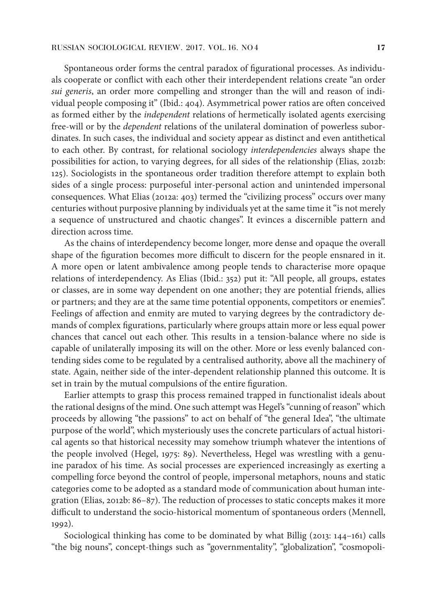Spontaneous order forms the central paradox of figurational processes. As individuals cooperate or conflict with each other their interdependent relations create "an order *sui generis*, an order more compelling and stronger than the will and reason of individual people composing it" (Ibid.: 404). Asymmetrical power ratios are often conceived as formed either by the *independent* relations of hermetically isolated agents exercising free-will or by the *dependent* relations of the unilateral domination of powerless subordinates. In such cases, the individual and society appear as distinct and even antithetical to each other. By contrast, for relational sociology *interdependencies* always shape the possibilities for action, to varying degrees, for all sides of the relationship (Elias, 2012b: 125). Sociologists in the spontaneous order tradition therefore attempt to explain both sides of a single process: purposeful inter-personal action and unintended impersonal consequences. What Elias (2012a: 403) termed the "civilizing process" occurs over many centuries without purposive planning by individuals yet at the same time it "is not merely a sequence of unstructured and chaotic changes". It evinces a discernible pattern and direction across time.

As the chains of interdependency become longer, more dense and opaque the overall shape of the figuration becomes more difficult to discern for the people ensnared in it. A more open or latent ambivalence among people tends to characterise more opaque relations of interdependency. As Elias (Ibid.: 352) put it: "All people, all groups, estates or classes, are in some way dependent on one another; they are potential friends, allies or partners; and they are at the same time potential opponents, competitors or enemies". Feelings of affection and enmity are muted to varying degrees by the contradictory demands of complex figurations, particularly where groups attain more or less equal power chances that cancel out each other. This results in a tension-balance where no side is capable of unilaterally imposing its will on the other. More or less evenly balanced contending sides come to be regulated by a centralised authority, above all the machinery of state. Again, neither side of the inter-dependent relationship planned this outcome. It is set in train by the mutual compulsions of the entire figuration.

Earlier attempts to grasp this process remained trapped in functionalist ideals about the rational designs of the mind. One such attempt was Hegel's "cunning of reason" which proceeds by allowing "the passions" to act on behalf of "the general Idea", "the ultimate purpose of the world", which mysteriously uses the concrete particulars of actual historical agents so that historical necessity may somehow triumph whatever the intentions of the people involved (Hegel, 1975: 89). Nevertheless, Hegel was wrestling with a genuine paradox of his time. As social processes are experienced increasingly as exerting a compelling force beyond the control of people, impersonal metaphors, nouns and static categories come to be adopted as a standard mode of communication about human integration (Elias, 2012b: 86–87). The reduction of processes to static concepts makes it more difficult to understand the socio-historical momentum of spontaneous orders (Mennell, 1992).

Sociological thinking has come to be dominated by what Billig (2013: 144–161) calls "the big nouns", concept-things such as "governmentality", "globalization", "cosmopoli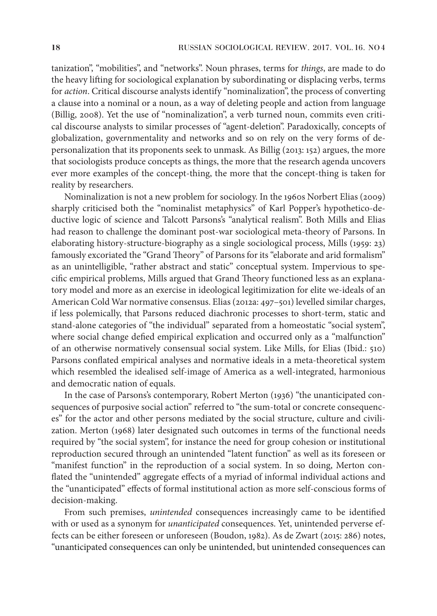tanization", "mobilities", and "networks". Noun phrases, terms for *things*, are made to do the heavy lifting for sociological explanation by subordinating or displacing verbs, terms for *action*. Critical discourse analysts identify "nominalization", the process of converting a clause into a nominal or a noun, as a way of deleting people and action from language (Billig, 2008). Yet the use of "nominalization", a verb turned noun, commits even critical discourse analysts to similar processes of "agent-deletion". Paradoxically, concepts of globalization, governmentality and networks and so on rely on the very forms of depersonalization that its proponents seek to unmask. As Billig (2013: 152) argues, the more that sociologists produce concepts as things, the more that the research agenda uncovers ever more examples of the concept-thing, the more that the concept-thing is taken for reality by researchers.

Nominalization is not a new problem for sociology. In the 1960s Norbert Elias (2009) sharply criticised both the "nominalist metaphysics" of Karl Popper's hypothetico-deductive logic of science and Talcott Parsons's "analytical realism". Both Mills and Elias had reason to challenge the dominant post-war sociological meta-theory of Parsons. In elaborating history-structure-biography as a single sociological process, Mills (1959: 23) famously excoriated the "Grand Theory" of Parsons for its "elaborate and arid formalism" as an unintelligible, "rather abstract and static" conceptual system. Impervious to specific empirical problems, Mills argued that Grand Theory functioned less as an explanatory model and more as an exercise in ideological legitimization for elite we-ideals of an American Cold War normative consensus. Elias (2012a: 497–501) levelled similar charges, if less polemically, that Parsons reduced diachronic processes to short-term, static and stand-alone categories of "the individual" separated from a homeostatic "social system", where social change defied empirical explication and occurred only as a "malfunction" of an otherwise normatively consensual social system. Like Mills, for Elias (Ibid.: 510) Parsons conflated empirical analyses and normative ideals in a meta-theoretical system which resembled the idealised self-image of America as a well-integrated, harmonious and democratic nation of equals.

In the case of Parsons's contemporary, Robert Merton (1936) "the unanticipated consequences of purposive social action" referred to "the sum-total or concrete consequences" for the actor and other persons mediated by the social structure, culture and civilization. Merton (1968) later designated such outcomes in terms of the functional needs required by "the social system", for instance the need for group cohesion or institutional reproduction secured through an unintended "latent function" as well as its foreseen or "manifest function" in the reproduction of a social system. In so doing, Merton conflated the "unintended" aggregate effects of a myriad of informal individual actions and the "unanticipated" effects of formal institutional action as more self-conscious forms of decision-making.

From such premises, *unintended* consequences increasingly came to be identified with or used as a synonym for *unanticipated* consequences. Yet, unintended perverse effects can be either foreseen or unforeseen (Boudon, 1982). As de Zwart (2015: 286) notes, "unanticipated consequences can only be unintended, but unintended consequences can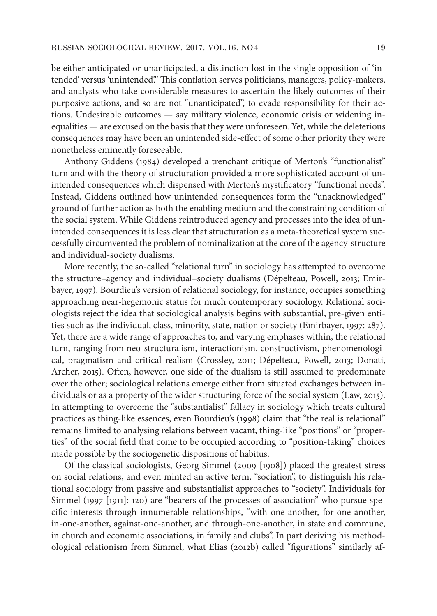be either anticipated or unanticipated, a distinction lost in the single opposition of 'intended' versus 'unintended'." This conflation serves politicians, managers, policy-makers, and analysts who take considerable measures to ascertain the likely outcomes of their purposive actions, and so are not "unanticipated", to evade responsibility for their actions. Undesirable outcomes — say military violence, economic crisis or widening inequalities — are excused on the basis that they were unforeseen. Yet, while the deleterious consequences may have been an unintended side-effect of some other priority they were nonetheless eminently foreseeable.

Anthony Giddens (1984) developed a trenchant critique of Merton's "functionalist" turn and with the theory of structuration provided a more sophisticated account of unintended consequences which dispensed with Merton's mystificatory "functional needs". Instead, Giddens outlined how unintended consequences form the "unacknowledged" ground of further action as both the enabling medium and the constraining condition of the social system. While Giddens reintroduced agency and processes into the idea of unintended consequences it is less clear that structuration as a meta-theoretical system successfully circumvented the problem of nominalization at the core of the agency-structure and individual-society dualisms.

More recently, the so-called "relational turn" in sociology has attempted to overcome the structure–agency and individual–society dualisms (Dépelteau, Powell, 2013; Emirbayer, 1997). Bourdieu's version of relational sociology, for instance, occupies something approaching near-hegemonic status for much contemporary sociology. Relational sociologists reject the idea that sociological analysis begins with substantial, pre-given entities such as the individual, class, minority, state, nation or society (Emirbayer, 1997: 287). Yet, there are a wide range of approaches to, and varying emphases within, the relational turn, ranging from neo-structuralism, interactionism, constructivism, phenomenological, pragmatism and critical realism (Crossley, 2011; Dépelteau, Powell, 2013; Donati, Archer, 2015). Often, however, one side of the dualism is still assumed to predominate over the other; sociological relations emerge either from situated exchanges between individuals or as a property of the wider structuring force of the social system (Law, 2015). In attempting to overcome the "substantialist" fallacy in sociology which treats cultural practices as thing-like essences, even Bourdieu's (1998) claim that "the real is relational" remains limited to analysing relations between vacant, thing-like "positions" or "properties" of the social field that come to be occupied according to "position-taking" choices made possible by the sociogenetic dispositions of habitus.

Of the classical sociologists, Georg Simmel (2009 [1908]) placed the greatest stress on social relations, and even minted an active term, "sociation", to distinguish his relational sociology from passive and substantialist approaches to "society". Individuals for Simmel (1997 [1911]: 120) are "bearers of the processes of association" who pursue specific interests through innumerable relationships, "with-one-another, for-one-another, in-one-another, against-one-another, and through-one-another, in state and commune, in church and economic associations, in family and clubs". In part deriving his methodological relationism from Simmel, what Elias (2012b) called "figurations" similarly af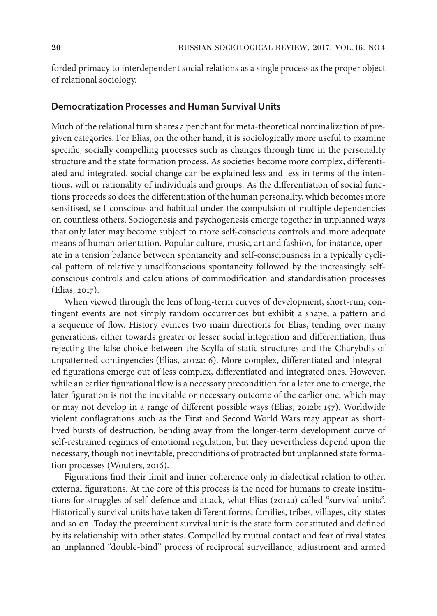forded primacy to interdependent social relations as a single process as the proper object of relational sociology.

#### **Democratization Processes and Human Survival Units**

Much of the relational turn shares a penchant for meta-theoretical nominalization of pregiven categories. For Elias, on the other hand, it is sociologically more useful to examine specific, socially compelling processes such as changes through time in the personality structure and the state formation process. As societies become more complex, differentiated and integrated, social change can be explained less and less in terms of the intentions, will or rationality of individuals and groups. As the differentiation of social functions proceeds so does the differentiation of the human personality, which becomes more sensitised, self-conscious and habitual under the compulsion of multiple dependencies on countless others. Sociogenesis and psychogenesis emerge together in unplanned ways that only later may become subject to more self-conscious controls and more adequate means of human orientation. Popular culture, music, art and fashion, for instance, operate in a tension balance between spontaneity and self-consciousness in a typically cyclical pattern of relatively unselfconscious spontaneity followed by the increasingly selfconscious controls and calculations of commodification and standardisation processes (Elias, 2017).

When viewed through the lens of long-term curves of development, short-run, contingent events are not simply random occurrences but exhibit a shape, a pattern and a sequence of flow. History evinces two main directions for Elias, tending over many generations, either towards greater or lesser social integration and differentiation, thus rejecting the false choice between the Scylla of static structures and the Charybdis of unpatterned contingencies (Elias, 2012a: 6). More complex, differentiated and integrated figurations emerge out of less complex, differentiated and integrated ones. However, while an earlier figurational flow is a necessary precondition for a later one to emerge, the later figuration is not the inevitable or necessary outcome of the earlier one, which may or may not develop in a range of different possible ways (Elias, 2012b: 157). Worldwide violent conflagrations such as the First and Second World Wars may appear as shortlived bursts of destruction, bending away from the longer-term development curve of self-restrained regimes of emotional regulation, but they nevertheless depend upon the necessary, though not inevitable, preconditions of protracted but unplanned state formation processes (Wouters, 2016).

Figurations find their limit and inner coherence only in dialectical relation to other, external figurations. At the core of this process is the need for humans to create institutions for struggles of self-defence and attack, what Elias (2012a) called "survival units". Historically survival units have taken different forms, families, tribes, villages, city-states and so on. Today the preeminent survival unit is the state form constituted and defined by its relationship with other states. Compelled by mutual contact and fear of rival states an unplanned "double-bind" process of reciprocal surveillance, adjustment and armed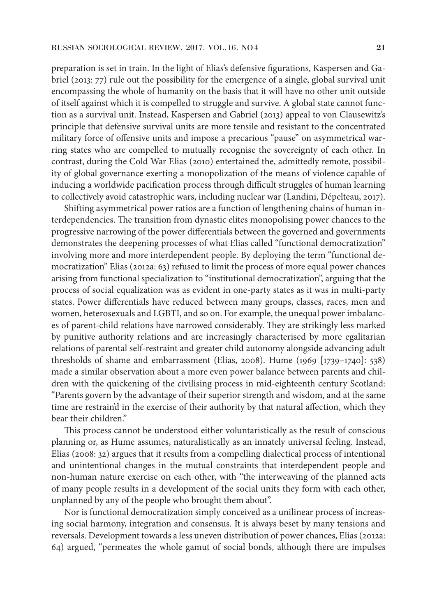preparation is set in train. In the light of Elias's defensive figurations, Kaspersen and Gabriel (2013: 77) rule out the possibility for the emergence of a single, global survival unit encompassing the whole of humanity on the basis that it will have no other unit outside of itself against which it is compelled to struggle and survive. A global state cannot function as a survival unit. Instead, Kaspersen and Gabriel (2013) appeal to von Clausewitz's principle that defensive survival units are more tensile and resistant to the concentrated military force of offensive units and impose a precarious "pause" on asymmetrical warring states who are compelled to mutually recognise the sovereignty of each other. In contrast, during the Cold War Elias (2010) entertained the, admittedly remote, possibility of global governance exerting a monopolization of the means of violence capable of inducing a worldwide pacification process through difficult struggles of human learning to collectively avoid catastrophic wars, including nuclear war (Landini, Dépelteau, 2017).

Shifting asymmetrical power ratios are a function of lengthening chains of human interdependencies. The transition from dynastic elites monopolising power chances to the progressive narrowing of the power differentials between the governed and governments demonstrates the deepening processes of what Elias called "functional democratization" involving more and more interdependent people. By deploying the term "functional democratization" Elias (2012a: 63) refused to limit the process of more equal power chances arising from functional specialization to "institutional democratization", arguing that the process of social equalization was as evident in one-party states as it was in multi-party states. Power differentials have reduced between many groups, classes, races, men and women, heterosexuals and LGBTI, and so on. For example, the unequal power imbalances of parent-child relations have narrowed considerably. They are strikingly less marked by punitive authority relations and are increasingly characterised by more egalitarian relations of parental self-restraint and greater child autonomy alongside advancing adult thresholds of shame and embarrassment (Elias, 2008). Hume (1969 [1739–1740]: 538) made a similar observation about a more even power balance between parents and children with the quickening of the civilising process in mid-eighteenth century Scotland: "Parents govern by the advantage of their superior strength and wisdom, and at the same time are restrain'd in the exercise of their authority by that natural affection, which they bear their children."

This process cannot be understood either voluntaristically as the result of conscious planning or, as Hume assumes, naturalistically as an innately universal feeling. Instead, Elias (2008: 32) argues that it results from a compelling dialectical process of intentional and unintentional changes in the mutual constraints that interdependent people and non-human nature exercise on each other, with "the interweaving of the planned acts of many people results in a development of the social units they form with each other, unplanned by any of the people who brought them about".

Nor is functional democratization simply conceived as a unilinear process of increasing social harmony, integration and consensus. It is always beset by many tensions and reversals. Development towards a less uneven distribution of power chances, Elias (2012a: 64) argued, "permeates the whole gamut of social bonds, although there are impulses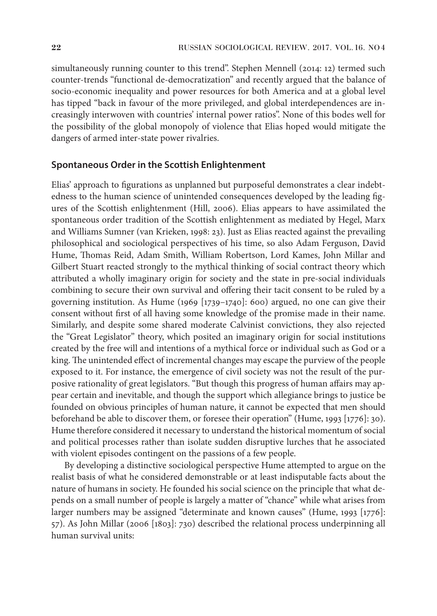simultaneously running counter to this trend". Stephen Mennell (2014: 12) termed such counter-trends "functional de-democratization" and recently argued that the balance of socio-economic inequality and power resources for both America and at a global level has tipped "back in favour of the more privileged, and global interdependences are increasingly interwoven with countries' internal power ratios". None of this bodes well for the possibility of the global monopoly of violence that Elias hoped would mitigate the dangers of armed inter-state power rivalries.

#### **Spontaneous Order in the Scottish Enlightenment**

Elias' approach to figurations as unplanned but purposeful demonstrates a clear indebtedness to the human science of unintended consequences developed by the leading figures of the Scottish enlightenment (Hill, 2006). Elias appears to have assimilated the spontaneous order tradition of the Scottish enlightenment as mediated by Hegel, Marx and Williams Sumner (van Krieken, 1998: 23). Just as Elias reacted against the prevailing philosophical and sociological perspectives of his time, so also Adam Ferguson, David Hume, Thomas Reid, Adam Smith, William Robertson, Lord Kames, John Millar and Gilbert Stuart reacted strongly to the mythical thinking of social contract theory which attributed a wholly imaginary origin for society and the state in pre-social individuals combining to secure their own survival and offering their tacit consent to be ruled by a governing institution. As Hume (1969 [1739–1740]: 600) argued, no one can give their consent without first of all having some knowledge of the promise made in their name. Similarly, and despite some shared moderate Calvinist convictions, they also rejected the "Great Legislator" theory, which posited an imaginary origin for social institutions created by the free will and intentions of a mythical force or individual such as God or a king. The unintended effect of incremental changes may escape the purview of the people exposed to it. For instance, the emergence of civil society was not the result of the purposive rationality of great legislators. "But though this progress of human affairs may appear certain and inevitable, and though the support which allegiance brings to justice be founded on obvious principles of human nature, it cannot be expected that men should beforehand be able to discover them, or foresee their operation" (Hume, 1993 [1776]: 30). Hume therefore considered it necessary to understand the historical momentum of social and political processes rather than isolate sudden disruptive lurches that he associated with violent episodes contingent on the passions of a few people.

By developing a distinctive sociological perspective Hume attempted to argue on the realist basis of what he considered demonstrable or at least indisputable facts about the nature of humans in society. He founded his social science on the principle that what depends on a small number of people is largely a matter of "chance" while what arises from larger numbers may be assigned "determinate and known causes" (Hume, 1993 [1776]: 57). As John Millar (2006 [1803]: 730) described the relational process underpinning all human survival units: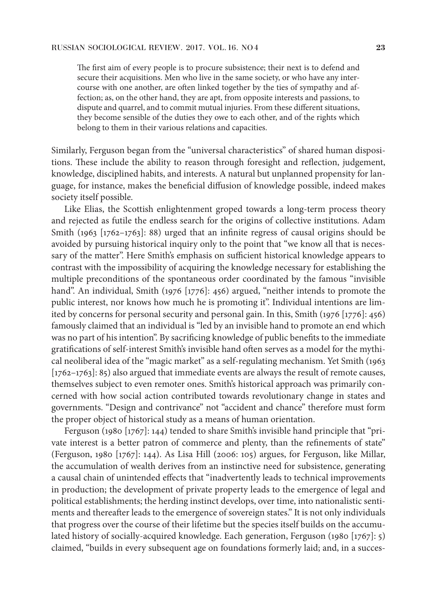The first aim of every people is to procure subsistence; their next is to defend and secure their acquisitions. Men who live in the same society, or who have any intercourse with one another, are often linked together by the ties of sympathy and affection; as, on the other hand, they are apt, from opposite interests and passions, to dispute and quarrel, and to commit mutual injuries. From these different situations, they become sensible of the duties they owe to each other, and of the rights which belong to them in their various relations and capacities.

Similarly, Ferguson began from the "universal characteristics" of shared human dispositions. These include the ability to reason through foresight and reflection, judgement, knowledge, disciplined habits, and interests. A natural but unplanned propensity for language, for instance, makes the beneficial diffusion of knowledge possible, indeed makes society itself possible.

Like Elias, the Scottish enlightenment groped towards a long-term process theory and rejected as futile the endless search for the origins of collective institutions. Adam Smith (1963 [1762–1763]: 88) urged that an infinite regress of causal origins should be avoided by pursuing historical inquiry only to the point that "we know all that is necessary of the matter". Here Smith's emphasis on sufficient historical knowledge appears to contrast with the impossibility of acquiring the knowledge necessary for establishing the multiple preconditions of the spontaneous order coordinated by the famous "invisible hand". An individual, Smith (1976 [1776]: 456) argued, "neither intends to promote the public interest, nor knows how much he is promoting it". Individual intentions are limited by concerns for personal security and personal gain. In this, Smith (1976 [1776]: 456) famously claimed that an individual is "led by an invisible hand to promote an end which was no part of his intention". By sacrificing knowledge of public benefits to the immediate gratifications of self-interest Smith's invisible hand often serves as a model for the mythical neoliberal idea of the "magic market" as a self-regulating mechanism. Yet Smith (1963 [1762–1763]: 85) also argued that immediate events are always the result of remote causes, themselves subject to even remoter ones. Smith's historical approach was primarily concerned with how social action contributed towards revolutionary change in states and governments. "Design and contrivance" not "accident and chance" therefore must form the proper object of historical study as a means of human orientation.

Ferguson (1980 [1767]: 144) tended to share Smith's invisible hand principle that "private interest is a better patron of commerce and plenty, than the refinements of state" (Ferguson, 1980 [1767]: 144). As Lisa Hill (2006: 105) argues, for Ferguson, like Millar, the accumulation of wealth derives from an instinctive need for subsistence, generating a causal chain of unintended effects that "inadvertently leads to technical improvements in production; the development of private property leads to the emergence of legal and political establishments; the herding instinct develops, over time, into nationalistic sentiments and thereafter leads to the emergence of sovereign states." It is not only individuals that progress over the course of their lifetime but the species itself builds on the accumulated history of socially-acquired knowledge. Each generation, Ferguson (1980 [1767]: 5) claimed, "builds in every subsequent age on foundations formerly laid; and, in a succes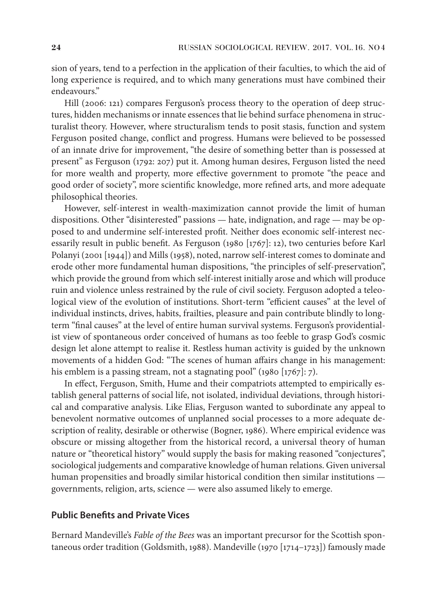sion of years, tend to a perfection in the application of their faculties, to which the aid of long experience is required, and to which many generations must have combined their endeavours."

Hill (2006: 121) compares Ferguson's process theory to the operation of deep structures, hidden mechanisms or innate essences that lie behind surface phenomena in structuralist theory. However, where structuralism tends to posit stasis, function and system Ferguson posited change, conflict and progress. Humans were believed to be possessed of an innate drive for improvement, "the desire of something better than is possessed at present" as Ferguson (1792: 207) put it. Among human desires, Ferguson listed the need for more wealth and property, more effective government to promote "the peace and good order of society", more scientific knowledge, more refined arts, and more adequate philosophical theories.

However, self-interest in wealth-maximization cannot provide the limit of human dispositions. Other "disinterested" passions — hate, indignation, and rage — may be opposed to and undermine self-interested profit. Neither does economic self-interest necessarily result in public benefit. As Ferguson (1980 [1767]: 12), two centuries before Karl Polanyi (2001 [1944]) and Mills (1958), noted, narrow self-interest comes to dominate and erode other more fundamental human dispositions, "the principles of self-preservation", which provide the ground from which self-interest initially arose and which will produce ruin and violence unless restrained by the rule of civil society. Ferguson adopted a teleological view of the evolution of institutions. Short-term "efficient causes" at the level of individual instincts, drives, habits, frailties, pleasure and pain contribute blindly to longterm "final causes" at the level of entire human survival systems. Ferguson's providentialist view of spontaneous order conceived of humans as too feeble to grasp God's cosmic design let alone attempt to realise it. Restless human activity is guided by the unknown movements of a hidden God: "The scenes of human affairs change in his management: his emblem is a passing stream, not a stagnating pool" (1980 [1767]: 7).

In effect, Ferguson, Smith, Hume and their compatriots attempted to empirically establish general patterns of social life, not isolated, individual deviations, through historical and comparative analysis. Like Elias, Ferguson wanted to subordinate any appeal to benevolent normative outcomes of unplanned social processes to a more adequate description of reality, desirable or otherwise (Bogner, 1986). Where empirical evidence was obscure or missing altogether from the historical record, a universal theory of human nature or "theoretical history" would supply the basis for making reasoned "conjectures", sociological judgements and comparative knowledge of human relations. Given universal human propensities and broadly similar historical condition then similar institutions governments, religion, arts, science — were also assumed likely to emerge.

### **Public Benefits and Private Vices**

Bernard Mandeville's *Fable of the Bees* was an important precursor for the Scottish spontaneous order tradition (Goldsmith, 1988). Mandeville (1970 [1714–1723]) famously made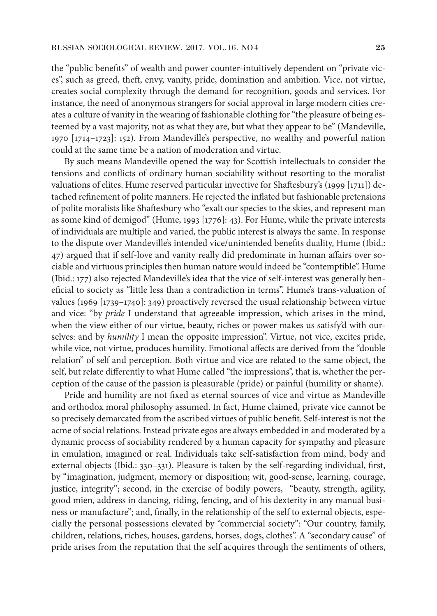the "public benefits" of wealth and power counter-intuitively dependent on "private vices", such as greed, theft, envy, vanity, pride, domination and ambition. Vice, not virtue, creates social complexity through the demand for recognition, goods and services. For instance, the need of anonymous strangers for social approval in large modern cities creates a culture of vanity in the wearing of fashionable clothing for "the pleasure of being esteemed by a vast majority, not as what they are, but what they appear to be" (Mandeville, 1970 [1714–1723]: 152). From Mandeville's perspective, no wealthy and powerful nation could at the same time be a nation of moderation and virtue.

By such means Mandeville opened the way for Scottish intellectuals to consider the tensions and conflicts of ordinary human sociability without resorting to the moralist valuations of elites. Hume reserved particular invective for Shaftesbury's (1999 [1711]) detached refinement of polite manners. He rejected the inflated but fashionable pretensions of polite moralists like Shaftesbury who "exalt our species to the skies, and represent man as some kind of demigod" (Hume, 1993 [1776]: 43). For Hume, while the private interests of individuals are multiple and varied, the public interest is always the same. In response to the dispute over Mandeville's intended vice/unintended benefits duality, Hume (Ibid.: 47) argued that if self-love and vanity really did predominate in human affairs over sociable and virtuous principles then human nature would indeed be "contemptible". Hume (Ibid.: 177) also rejected Mandeville's idea that the vice of self-interest was generally beneficial to society as "little less than a contradiction in terms". Hume's trans-valuation of values (1969 [1739–1740]: 349) proactively reversed the usual relationship between virtue and vice: "by *pride* I understand that agreeable impression, which arises in the mind, when the view either of our virtue, beauty, riches or power makes us satisfy'd with ourselves: and by *humility* I mean the opposite impression". Virtue, not vice, excites pride, while vice, not virtue, produces humility. Emotional affects are derived from the "double relation" of self and perception. Both virtue and vice are related to the same object, the self, but relate differently to what Hume called "the impressions", that is, whether the perception of the cause of the passion is pleasurable (pride) or painful (humility or shame).

Pride and humility are not fixed as eternal sources of vice and virtue as Mandeville and orthodox moral philosophy assumed. In fact, Hume claimed, private vice cannot be so precisely demarcated from the ascribed virtues of public benefit. Self-interest is not the acme of social relations. Instead private egos are always embedded in and moderated by a dynamic process of sociability rendered by a human capacity for sympathy and pleasure in emulation, imagined or real. Individuals take self-satisfaction from mind, body and external objects (Ibid.: 330–331). Pleasure is taken by the self-regarding individual, first, by "imagination, judgment, memory or disposition; wit, good-sense, learning, courage, justice, integrity"; second, in the exercise of bodily powers, "beauty, strength, agility, good mien, address in dancing, riding, fencing, and of his dexterity in any manual business or manufacture"; and, finally, in the relationship of the self to external objects, especially the personal possessions elevated by "commercial society": "Our country, family, children, relations, riches, houses, gardens, horses, dogs, clothes". A "secondary cause" of pride arises from the reputation that the self acquires through the sentiments of others,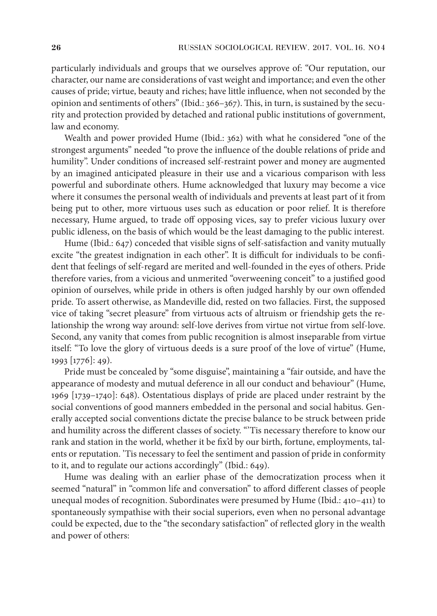particularly individuals and groups that we ourselves approve of: "Our reputation, our character, our name are considerations of vast weight and importance; and even the other causes of pride; virtue, beauty and riches; have little influence, when not seconded by the opinion and sentiments of others" (Ibid.:  $366-367$ ). This, in turn, is sustained by the security and protection provided by detached and rational public institutions of government, law and economy.

Wealth and power provided Hume (Ibid.: 362) with what he considered "one of the strongest arguments" needed "to prove the influence of the double relations of pride and humility". Under conditions of increased self-restraint power and money are augmented by an imagined anticipated pleasure in their use and a vicarious comparison with less powerful and subordinate others. Hume acknowledged that luxury may become a vice where it consumes the personal wealth of individuals and prevents at least part of it from being put to other, more virtuous uses such as education or poor relief. It is therefore necessary, Hume argued, to trade off opposing vices, say to prefer vicious luxury over public idleness, on the basis of which would be the least damaging to the public interest.

Hume (Ibid.: 647) conceded that visible signs of self-satisfaction and vanity mutually excite "the greatest indignation in each other". It is difficult for individuals to be confident that feelings of self-regard are merited and well-founded in the eyes of others. Pride therefore varies, from a vicious and unmerited "overweening conceit" to a justified good opinion of ourselves, while pride in others is often judged harshly by our own offended pride. To assert otherwise, as Mandeville did, rested on two fallacies. First, the supposed vice of taking "secret pleasure" from virtuous acts of altruism or friendship gets the relationship the wrong way around: self-love derives from virtue not virtue from self-love. Second, any vanity that comes from public recognition is almost inseparable from virtue itself: "To love the glory of virtuous deeds is a sure proof of the love of virtue" (Hume, 1993 [1776]: 49).

Pride must be concealed by "some disguise", maintaining a "fair outside, and have the appearance of modesty and mutual deference in all our conduct and behaviour" (Hume, 1969 [1739–1740]: 648). Ostentatious displays of pride are placed under restraint by the social conventions of good manners embedded in the personal and social habitus. Generally accepted social conventions dictate the precise balance to be struck between pride and humility across the different classes of society. "'Tis necessary therefore to know our rank and station in the world, whether it be fix'd by our birth, fortune, employments, talents or reputation. 'Tis necessary to feel the sentiment and passion of pride in conformity to it, and to regulate our actions accordingly" (Ibid.: 649).

Hume was dealing with an earlier phase of the democratization process when it seemed "natural" in "common life and conversation" to afford different classes of people unequal modes of recognition. Subordinates were presumed by Hume (Ibid.: 410–411) to spontaneously sympathise with their social superiors, even when no personal advantage could be expected, due to the "the secondary satisfaction" of reflected glory in the wealth and power of others: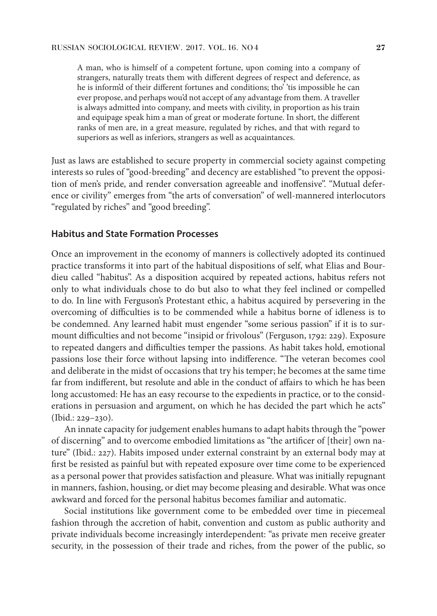A man, who is himself of a competent fortune, upon coming into a company of strangers, naturally treats them with different degrees of respect and deference, as he is inform'd of their different fortunes and conditions; tho' 'tis impossible he can ever propose, and perhaps wou'd not accept of any advantage from them. A traveller is always admitted into company, and meets with civility, in proportion as his train and equipage speak him a man of great or moderate fortune. In short, the different ranks of men are, in a great measure, regulated by riches, and that with regard to superiors as well as inferiors, strangers as well as acquaintances.

Just as laws are established to secure property in commercial society against competing interests so rules of "good-breeding" and decency are established "to prevent the opposition of men's pride, and render conversation agreeable and inoffensive". "Mutual deference or civility" emerges from "the arts of conversation" of well-mannered interlocutors "regulated by riches" and "good breeding".

#### **Habitus and State Formation Processes**

Once an improvement in the economy of manners is collectively adopted its continued practice transforms it into part of the habitual dispositions of self, what Elias and Bourdieu called "habitus". As a disposition acquired by repeated actions, habitus refers not only to what individuals chose to do but also to what they feel inclined or compelled to do. In line with Ferguson's Protestant ethic, a habitus acquired by persevering in the overcoming of difficulties is to be commended while a habitus borne of idleness is to be condemned. Any learned habit must engender "some serious passion" if it is to surmount difficulties and not become "insipid or frivolous" (Ferguson, 1792: 229). Exposure to repeated dangers and difficulties temper the passions. As habit takes hold, emotional passions lose their force without lapsing into indifference. "The veteran becomes cool and deliberate in the midst of occasions that try his temper; he becomes at the same time far from indifferent, but resolute and able in the conduct of affairs to which he has been long accustomed: He has an easy recourse to the expedients in practice, or to the considerations in persuasion and argument, on which he has decided the part which he acts" (Ibid.: 229–230).

An innate capacity for judgement enables humans to adapt habits through the "power of discerning" and to overcome embodied limitations as "the artificer of [their] own nature" (Ibid.: 227). Habits imposed under external constraint by an external body may at first be resisted as painful but with repeated exposure over time come to be experienced as a personal power that provides satisfaction and pleasure. What was initially repugnant in manners, fashion, housing, or diet may become pleasing and desirable. What was once awkward and forced for the personal habitus becomes familiar and automatic.

Social institutions like government come to be embedded over time in piecemeal fashion through the accretion of habit, convention and custom as public authority and private individuals become increasingly interdependent: "as private men receive greater security, in the possession of their trade and riches, from the power of the public, so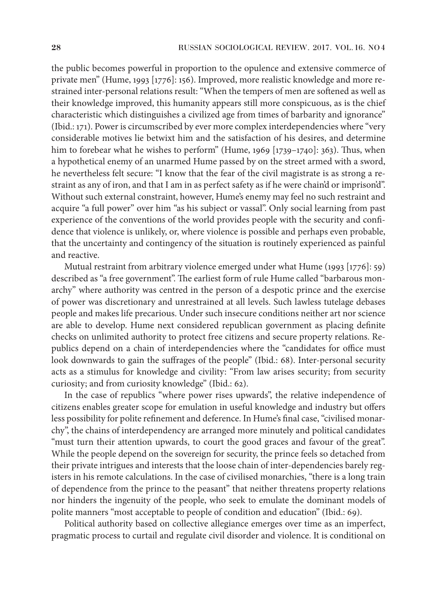the public becomes powerful in proportion to the opulence and extensive commerce of private men" (Hume, 1993 [1776]: 156). Improved, more realistic knowledge and more restrained inter-personal relations result: "When the tempers of men are softened as well as their knowledge improved, this humanity appears still more conspicuous, as is the chief characteristic which distinguishes a civilized age from times of barbarity and ignorance" (Ibid.: 171). Power is circumscribed by ever more complex interdependencies where "very considerable motives lie betwixt him and the satisfaction of his desires, and determine him to forebear what he wishes to perform" (Hume, 1969 [1739–1740]: 363). Thus, when a hypothetical enemy of an unarmed Hume passed by on the street armed with a sword, he nevertheless felt secure: "I know that the fear of the civil magistrate is as strong a restraint as any of iron, and that I am in as perfect safety as if he were chain'd or imprison'd". Without such external constraint, however, Hume's enemy may feel no such restraint and acquire "a full power" over him "as his subject or vassal". Only social learning from past experience of the conventions of the world provides people with the security and confidence that violence is unlikely, or, where violence is possible and perhaps even probable, that the uncertainty and contingency of the situation is routinely experienced as painful and reactive.

Mutual restraint from arbitrary violence emerged under what Hume (1993 [1776]: 59) described as "a free government". The earliest form of rule Hume called "barbarous monarchy" where authority was centred in the person of a despotic prince and the exercise of power was discretionary and unrestrained at all levels. Such lawless tutelage debases people and makes life precarious. Under such insecure conditions neither art nor science are able to develop. Hume next considered republican government as placing definite checks on unlimited authority to protect free citizens and secure property relations. Republics depend on a chain of interdependencies where the "candidates for office must look downwards to gain the suffrages of the people" (Ibid.: 68). Inter-personal security acts as a stimulus for knowledge and civility: "From law arises security; from security curiosity; and from curiosity knowledge" (Ibid.: 62).

In the case of republics "where power rises upwards", the relative independence of citizens enables greater scope for emulation in useful knowledge and industry but offers less possibility for polite refinement and deference. In Hume's final case, "civilised monarchy", the chains of interdependency are arranged more minutely and political candidates "must turn their attention upwards, to court the good graces and favour of the great". While the people depend on the sovereign for security, the prince feels so detached from their private intrigues and interests that the loose chain of inter-dependencies barely registers in his remote calculations. In the case of civilised monarchies, "there is a long train of dependence from the prince to the peasant" that neither threatens property relations nor hinders the ingenuity of the people, who seek to emulate the dominant models of polite manners "most acceptable to people of condition and education" (Ibid.: 69).

Political authority based on collective allegiance emerges over time as an imperfect, pragmatic process to curtail and regulate civil disorder and violence. It is conditional on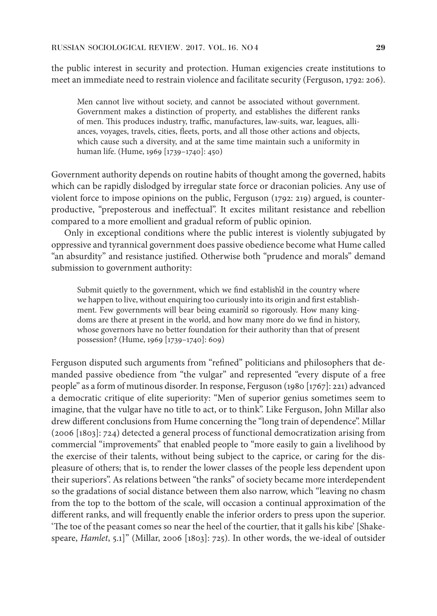the public interest in security and protection. Human exigencies create institutions to meet an immediate need to restrain violence and facilitate security (Ferguson, 1792: 206).

Men cannot live without society, and cannot be associated without government. Government makes a distinction of property, and establishes the different ranks of men. This produces industry, traffic, manufactures, law-suits, war, leagues, alliances, voyages, travels, cities, fleets, ports, and all those other actions and objects, which cause such a diversity, and at the same time maintain such a uniformity in human life. (Hume, 1969 [1739–1740]: 450)

Government authority depends on routine habits of thought among the governed, habits which can be rapidly dislodged by irregular state force or draconian policies. Any use of violent force to impose opinions on the public, Ferguson (1792: 219) argued, is counterproductive, "preposterous and ineffectual". It excites militant resistance and rebellion compared to a more emollient and gradual reform of public opinion.

Only in exceptional conditions where the public interest is violently subjugated by oppressive and tyrannical government does passive obedience become what Hume called "an absurdity" and resistance justified. Otherwise both "prudence and morals" demand submission to government authority:

Submit quietly to the government, which we find establish'd in the country where we happen to live, without enquiring too curiously into its origin and first establishment. Few governments will bear being examin'd so rigorously. How many kingdoms are there at present in the world, and how many more do we find in history, whose governors have no better foundation for their authority than that of present possession? (Hume, 1969 [1739–1740]: 609)

Ferguson disputed such arguments from "refined" politicians and philosophers that demanded passive obedience from "the vulgar" and represented "every dispute of a free people" as a form of mutinous disorder. In response, Ferguson (1980 [1767]: 221) advanced a democratic critique of elite superiority: "Men of superior genius sometimes seem to imagine, that the vulgar have no title to act, or to think". Like Ferguson, John Millar also drew different conclusions from Hume concerning the "long train of dependence". Millar (2006 [1803]: 724) detected a general process of functional democratization arising from commercial "improvements" that enabled people to "more easily to gain a livelihood by the exercise of their talents, without being subject to the caprice, or caring for the displeasure of others; that is, to render the lower classes of the people less dependent upon their superiors". As relations between "the ranks" of society became more interdependent so the gradations of social distance between them also narrow, which "leaving no chasm from the top to the bottom of the scale, will occasion a continual approximation of the different ranks, and will frequently enable the inferior orders to press upon the superior. 'The toe of the peasant comes so near the heel of the courtier, that it galls his kibe' [Shakespeare, *Hamlet*, 5.1]" (Millar, 2006 [1803]: 725). In other words, the we-ideal of outsider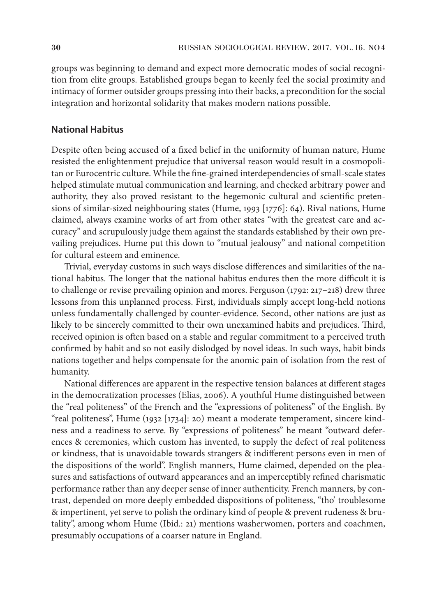groups was beginning to demand and expect more democratic modes of social recognition from elite groups. Established groups began to keenly feel the social proximity and intimacy of former outsider groups pressing into their backs, a precondition for the social integration and horizontal solidarity that makes modern nations possible.

#### **National Habitus**

Despite often being accused of a fixed belief in the uniformity of human nature, Hume resisted the enlightenment prejudice that universal reason would result in a cosmopolitan or Eurocentric culture. While the fine-grained interdependencies of small-scale states helped stimulate mutual communication and learning, and checked arbitrary power and authority, they also proved resistant to the hegemonic cultural and scientific pretensions of similar-sized neighbouring states (Hume, 1993 [1776]: 64). Rival nations, Hume claimed, always examine works of art from other states "with the greatest care and accuracy" and scrupulously judge them against the standards established by their own prevailing prejudices. Hume put this down to "mutual jealousy" and national competition for cultural esteem and eminence.

Trivial, everyday customs in such ways disclose differences and similarities of the national habitus. The longer that the national habitus endures then the more difficult it is to challenge or revise prevailing opinion and mores. Ferguson (1792: 217–218) drew three lessons from this unplanned process. First, individuals simply accept long-held notions unless fundamentally challenged by counter-evidence. Second, other nations are just as likely to be sincerely committed to their own unexamined habits and prejudices. Third, received opinion is often based on a stable and regular commitment to a perceived truth confirmed by habit and so not easily dislodged by novel ideas. In such ways, habit binds nations together and helps compensate for the anomic pain of isolation from the rest of humanity.

National differences are apparent in the respective tension balances at different stages in the democratization processes (Elias, 2006). A youthful Hume distinguished between the "real politeness" of the French and the "expressions of politeness" of the English. By "real politeness", Hume (1932 [1734]: 20) meant a moderate temperament, sincere kindness and a readiness to serve. By "expressions of politeness" he meant "outward deferences & ceremonies, which custom has invented, to supply the defect of real politeness or kindness, that is unavoidable towards strangers & indifferent persons even in men of the dispositions of the world". English manners, Hume claimed, depended on the pleasures and satisfactions of outward appearances and an imperceptibly refined charismatic performance rather than any deeper sense of inner authenticity. French manners, by contrast, depended on more deeply embedded dispositions of politeness, "tho' troublesome & impertinent, yet serve to polish the ordinary kind of people & prevent rudeness & brutality", among whom Hume (Ibid.: 21) mentions washerwomen, porters and coachmen, presumably occupations of a coarser nature in England.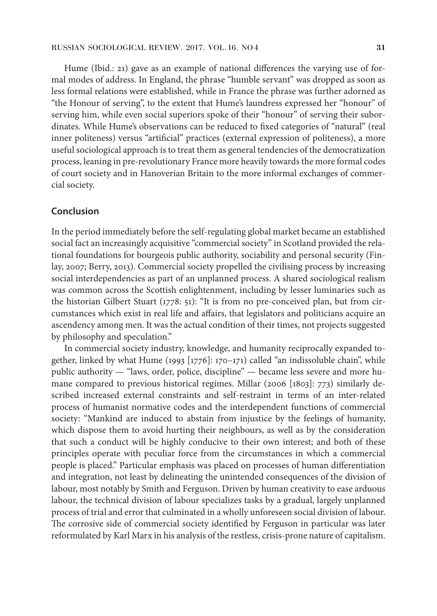Hume (Ibid.: 21) gave as an example of national differences the varying use of formal modes of address. In England, the phrase "humble servant" was dropped as soon as less formal relations were established, while in France the phrase was further adorned as "the Honour of serving", to the extent that Hume's laundress expressed her "honour" of serving him, while even social superiors spoke of their "honour" of serving their subordinates. While Hume's observations can be reduced to fixed categories of "natural" (real inner politeness) versus "artificial" practices (external expression of politeness), a more useful sociological approach is to treat them as general tendencies of the democratization process, leaning in pre-revolutionary France more heavily towards the more formal codes of court society and in Hanoverian Britain to the more informal exchanges of commercial society.

#### **Conclusion**

In the period immediately before the self-regulating global market became an established social fact an increasingly acquisitive "commercial society" in Scotland provided the relational foundations for bourgeois public authority, sociability and personal security (Finlay, 2007; Berry, 2013). Commercial society propelled the civilising process by increasing social interdependencies as part of an unplanned process. A shared sociological realism was common across the Scottish enlightenment, including by lesser luminaries such as the historian Gilbert Stuart (1778: 51): "It is from no pre-conceived plan, but from circumstances which exist in real life and affairs, that legislators and politicians acquire an ascendency among men. It was the actual condition of their times, not projects suggested by philosophy and speculation."

In commercial society industry, knowledge, and humanity reciprocally expanded together, linked by what Hume (1993 [1776]: 170–171) called "an indissoluble chain", while public authority — "laws, order, police, discipline" — became less severe and more humane compared to previous historical regimes. Millar (2006 [1803]: 773) similarly described increased external constraints and self-restraint in terms of an inter-related process of humanist normative codes and the interdependent functions of commercial society: "Mankind are induced to abstain from injustice by the feelings of humanity, which dispose them to avoid hurting their neighbours, as well as by the consideration that such a conduct will be highly conducive to their own interest; and both of these principles operate with peculiar force from the circumstances in which a commercial people is placed." Particular emphasis was placed on processes of human differentiation and integration, not least by delineating the unintended consequences of the division of labour, most notably by Smith and Ferguson. Driven by human creativity to ease arduous labour, the technical division of labour specializes tasks by a gradual, largely unplanned process of trial and error that culminated in a wholly unforeseen social division of labour. The corrosive side of commercial society identified by Ferguson in particular was later reformulated by Karl Marx in his analysis of the restless, crisis-prone nature of capitalism.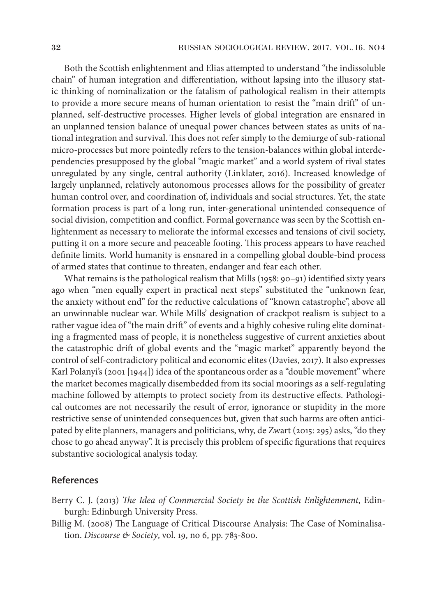Both the Scottish enlightenment and Elias attempted to understand "the indissoluble chain" of human integration and differentiation, without lapsing into the illusory static thinking of nominalization or the fatalism of pathological realism in their attempts to provide a more secure means of human orientation to resist the "main drift" of unplanned, self-destructive processes. Higher levels of global integration are ensnared in an unplanned tension balance of unequal power chances between states as units of national integration and survival. This does not refer simply to the demiurge of sub-rational micro-processes but more pointedly refers to the tension-balances within global interdependencies presupposed by the global "magic market" and a world system of rival states unregulated by any single, central authority (Linklater, 2016). Increased knowledge of largely unplanned, relatively autonomous processes allows for the possibility of greater human control over, and coordination of, individuals and social structures. Yet, the state formation process is part of a long run, inter-generational unintended consequence of social division, competition and conflict. Formal governance was seen by the Scottish enlightenment as necessary to meliorate the informal excesses and tensions of civil society, putting it on a more secure and peaceable footing. This process appears to have reached definite limits. World humanity is ensnared in a compelling global double-bind process of armed states that continue to threaten, endanger and fear each other.

What remains is the pathological realism that Mills (1958: 90–91) identified sixty years ago when "men equally expert in practical next steps" substituted the "unknown fear, the anxiety without end" for the reductive calculations of "known catastrophe", above all an unwinnable nuclear war. While Mills' designation of crackpot realism is subject to a rather vague idea of "the main drift" of events and a highly cohesive ruling elite dominating a fragmented mass of people, it is nonetheless suggestive of current anxieties about the catastrophic drift of global events and the "magic market" apparently beyond the control of self-contradictory political and economic elites (Davies, 2017). It also expresses Karl Polanyi's (2001 [1944]) idea of the spontaneous order as a "double movement" where the market becomes magically disembedded from its social moorings as a self-regulating machine followed by attempts to protect society from its destructive effects. Pathological outcomes are not necessarily the result of error, ignorance or stupidity in the more restrictive sense of unintended consequences but, given that such harms are often anticipated by elite planners, managers and politicians, why, de Zwart (2015: 295) asks, "do they chose to go ahead anyway". It is precisely this problem of specific figurations that requires substantive sociological analysis today.

#### **References**

- Berry C. J. (2013) *The Idea of Commercial Society in the Scottish Enlightenment*, Edinburgh: Edinburgh University Press.
- Billig M. (2008) The Language of Critical Discourse Analysis: The Case of Nominalisation. *Discourse & Society*, vol. 19, no 6, pp. 783-800.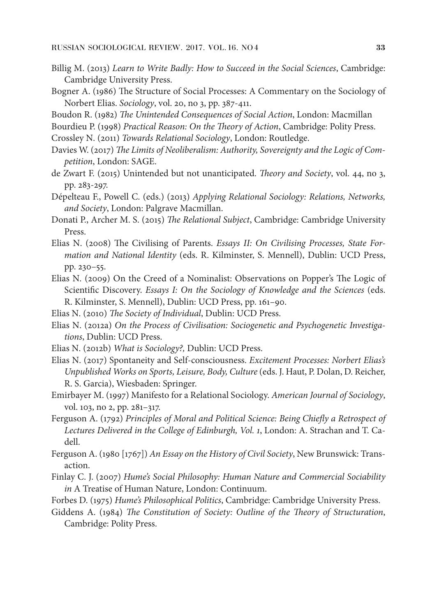- Billig M. (2013) *Learn to Write Badly: How to Succeed in the Social Sciences*, Cambridge: Cambridge University Press.
- Bogner A. (1986) The Structure of Social Processes: A Commentary on the Sociology of Norbert Elias. *Sociology*, vol. 20, no 3, pp. 387-411.
- Boudon R. (1982) *The Unintended Consequences of Social Action*, London: Macmillan
- Bourdieu P. (1998) *Practical Reason: On the Theory of Action*, Cambridge: Polity Press.
- Crossley N. (2011) *Towards Relational Sociology*, London: Routledge.
- Davies W. (2017) *The Limits of Neoliberalism: Authority, Sovereignty and the Logic of Competition*, London: SAGE.
- de Zwart F. (2015) Unintended but not unanticipated. *Theory and Society*, vol. 44, no 3, pp. 283-297.
- Dépelteau F., Powell C. (eds.) (2013) *Applying Relational Sociology: Relations, Networks, and Society*, London: Palgrave Macmillan.
- Donati P., Archer M. S. (2015) *The Relational Subject*, Cambridge: Cambridge University Press.
- Elias N. (2008) The Civilising of Parents. *Essays II: On Civilising Processes, State Formation and National Identity* (eds. R. Kilminster, S. Mennell), Dublin: UCD Press, pp. 230–55.
- Elias N. (2009) On the Creed of a Nominalist: Observations on Popper's The Logic of Scientific Discovery. *Essays I: On the Sociology of Knowledge and the Sciences* (eds. R. Kilminster, S. Mennell), Dublin: UCD Press, pp. 161–90.
- Elias N. (2010) *The Society of Individual*, Dublin: UCD Press.
- Elias N. (2012a) *On the Process of Civilisation: Sociogenetic and Psychogenetic Investigations*, Dublin: UCD Press.
- Elias N. (2012b) *What is Sociology?,* Dublin: UCD Press.
- Elias N. (2017) Spontaneity and Self-consciousness. *Excitement Processes: Norbert Elias's Unpublished Works on Sports, Leisure, Body, Culture* (eds. J. Haut, P. Dolan, D. Reicher, R. S. Garcia), Wiesbaden: Springer.
- Emirbayer M. (1997) Manifesto for a Relational Sociology. *American Journal of Sociology*, vol. 103, no 2, pp. 281–317.
- Ferguson A. (1792) *Principles of Moral and Political Science: Being Chiefly a Retrospect of Lectures Delivered in the College of Edinburgh, Vol. 1*, London: A. Strachan and T. Cadell.
- Ferguson A. (1980 [1767]) *An Essay on the History of Civil Society*, New Brunswick: Transaction.
- Finlay C. J. (2007) *Hume's Social Philosophy: Human Nature and Commercial Sociability in* A Treatise of Human Nature, London: Continuum.
- Forbes D. (1975) *Hume's Philosophical Politics*, Cambridge: Cambridge University Press.
- Giddens A. (1984) *The Constitution of Society: Outline of the Theory of Structuration*, Cambridge: Polity Press.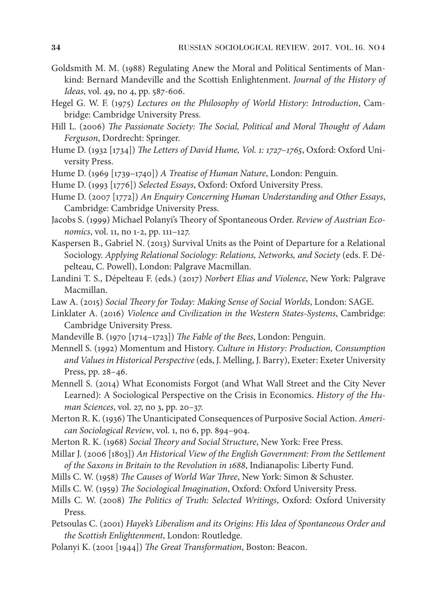- Goldsmith M. M. (1988) Regulating Anew the Moral and Political Sentiments of Mankind: Bernard Mandeville and the Scottish Enlightenment. *Journal of the History of Ideas*, vol. 49, no 4, pp. 587-606.
- Hegel G. W. F. (1975) *Lectures on the Philosophy of World History: Introduction*, Cambridge: Cambridge University Press.
- Hill L. (2006) *The Passionate Society: The Social, Political and Moral Thought of Adam Ferguson*, Dordrecht: Springer.
- Hume D. (1932 [1734]) *The Letters of David Hume, Vol. 1: 1727–1765*, Oxford: Oxford University Press.
- Hume D. (1969 [1739–1740]) *A Treatise of Human Nature*, London: Penguin.
- Hume D. (1993 [1776]) *Selected Essays*, Oxford: Oxford University Press.
- Hume D. (2007 [1772]) *An Enquiry Concerning Human Understanding and Other Essays*, Cambridge: Cambridge University Press.
- Jacobs S. (1999) Michael Polanyi's Theory of Spontaneous Order. *Review of Austrian Economics*, vol. 11, no 1-2, pp. 111–127.
- Kaspersen B., Gabriel N. (2013) Survival Units as the Point of Departure for a Relational Sociology. *Applying Relational Sociology: Relations, Networks, and Society* (eds. F. Dépelteau, C. Powell), London: Palgrave Macmillan.
- Landini T. S., Dépelteau F. (eds.) (2017) *Norbert Elias and Violence*, New York: Palgrave Macmillan.
- Law A. (2015) *Social Theory for Today: Making Sense of Social Worlds*, London: SAGE.
- Linklater A. (2016) *Violence and Civilization in the Western States-Systems*, Cambridge: Cambridge University Press.
- Mandeville B. (1970 [1714–1723]) *The Fable of the Bees*, London: Penguin.
- Mennell S. (1992) Momentum and History. *Culture in History: Production, Consumption and Values in Historical Perspective* (eds, J. Melling, J. Barry), Exeter: Exeter University Press, pp. 28–46.
- Mennell S. (2014) What Economists Forgot (and What Wall Street and the City Never Learned): A Sociological Perspective on the Crisis in Economics. *History of the Human Sciences*, vol. 27, no 3, pp. 20–37.
- Merton R. K. (1936) The Unanticipated Consequences of Purposive Social Action. *American Sociological Review*, vol. 1, no 6, pp. 894–904.
- Merton R. K. (1968) *Social Theory and Social Structure*, New York: Free Press.
- Millar J. (2006 [1803]) *An Historical View of the English Government: From the Settlement of the Saxons in Britain to the Revolution in 1688*, Indianapolis: Liberty Fund.
- Mills C. W. (1958) *The Causes of World War Three*, New York: Simon & Schuster.
- Mills C. W. (1959) *The Sociological Imagination*, Oxford: Oxford University Press.
- Mills C. W. (2008) *The Politics of Truth: Selected Writings*, Oxford: Oxford University Press.
- Petsoulas C. (2001) *Hayek's Liberalism and its Origins: His Idea of Spontaneous Order and the Scottish Enlightenment*, London: Routledge.
- Polanyi K. (2001 [1944]) *The Great Transformation*, Boston: Beacon.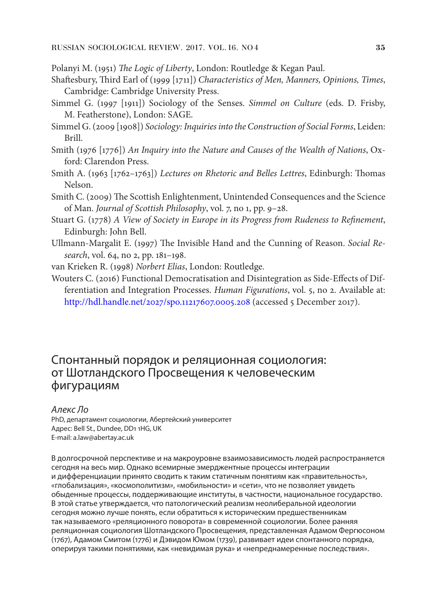Polanyi M. (1951) *The Logic of Liberty*, London: Routledge & Kegan Paul.

- Shaftesbury, Third Earl of (1999 [1711]) *Characteristics of Men, Manners, Opinions, Times*, Cambridge: Cambridge University Press.
- Simmel G. (1997 [1911]) Sociology of the Senses. *Simmel on Culture* (eds. D. Frisby, M. Featherstone), London: SAGE.
- Simmel G. (2009 [1908]) *Sociology: Inquiries into the Construction of Social Forms*, Leiden: Brill.
- Smith (1976 [1776]) *An Inquiry into the Nature and Causes of the Wealth of Nations*, Oxford: Clarendon Press.
- Smith A. (1963 [1762–1763]) *Lectures on Rhetoric and Belles Lettres*, Edinburgh: Thomas Nelson.
- Smith C. (2009) The Scottish Enlightenment, Unintended Consequences and the Science of Man. *Journal of Scottish Philosophy*, vol. 7, no 1, pp. 9–28.
- Stuart G. (1778) *A View of Society in Europe in its Progress from Rudeness to Refinement*, Edinburgh: John Bell.
- Ullmann-Margalit E. (1997) The Invisible Hand and the Cunning of Reason. *Social Research*, vol. 64, no 2, pp. 181–198.
- van Krieken R. (1998) *Norbert Elias*, London: Routledge.
- Wouters C. (2016) Functional Democratisation and Disintegration as Side-Effects of Differentiation and Integration Processes. *Human Figurations*, vol. 5, no 2. Available at: http://hdl.handle.net/2027/spo.11217607.0005.208 (accessed 5 December 2017).

## Спонтанный порядок и реляционная социология: от Шотландского Просвещения к человеческим фигурациям

#### *Алекс Ло*

PhD, департамент социологии, Абертейский университет Адрес: Bell St., Dundee, DD1 1HG, UK E-mail: a.law@abertay.ac.uk

В долгосрочной перспективе и на макроуровне взаимозависимость людей распространяется сегодня на весь мир. Однако всемирные эмерджентные процессы интеграции и дифференциации принято сводить к таким статичным понятиям как «правительность», «глобализация», «космополитизм», «мобильности» и «сети», что не позволяет увидеть обыденные процессы, поддерживающие институты, в частности, национальное государство. В этой статье утверждается, что патологический реализм неолиберальной идеологии сегодня можно лучше понять, если обратиться к историческим предшественникам так называемого «реляционного поворота» в современной социологии. Более ранняя реляционная социология Шотландского Просвещения, представленная Адамом Фергюсоном (1767), Адамом Смитом (1776) и Дэвидом Юмом (1739), развивает идеи спонтанного порядка, оперируя такими понятиями, как «невидимая рука» и «непреднамеренные последствия».